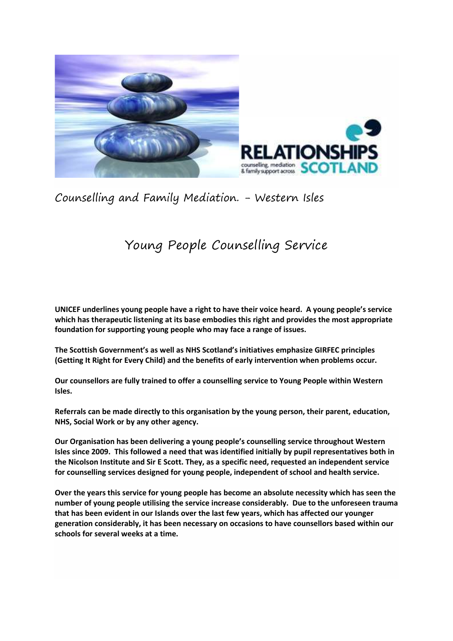

Counselling and Family Mediation. - Western Isles

# Young People Counselling Service

**UNICEF underlines young people have a right to have their voice heard. A young people's service which has therapeutic listening at its base embodies this right and provides the most appropriate foundation for supporting young people who may face a range of issues.**

**The Scottish Government's as well as NHS Scotland's initiatives emphasize GIRFEC principles (Getting It Right for Every Child) and the benefits of early intervention when problems occur.**

**Our counsellors are fully trained to offer a counselling service to Young People within Western Isles.**

**Referrals can be made directly to this organisation by the young person, their parent, education, NHS, Social Work or by any other agency.**

**Our Organisation has been delivering a young people's counselling service throughout Western Isles since 2009. This followed a need that was identified initially by pupil representatives both in the Nicolson Institute and Sir E Scott. They, as a specific need, requested an independent service for counselling services designed for young people, independent of school and health service.**

**Over the years this service for young people has become an absolute necessity which has seen the number of young people utilising the service increase considerably. Due to the unforeseen trauma that has been evident in our Islands over the last few years, which has affected our younger generation considerably, it has been necessary on occasions to have counsellors based within our schools for several weeks at a time.**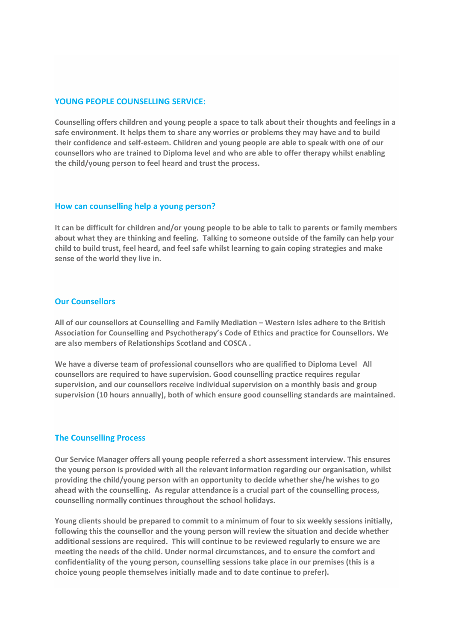#### **YOUNG PEOPLE COUNSELLING SERVICE:**

**Counselling offers children and young people a space to talk about their thoughts and feelings in a safe environment. It helps them to share any worries or problems they may have and to build their confidence and self-esteem. Children and young people are able to speak with one of our counsellors who are trained to Diploma level and who are able to offer therapy whilst enabling the child/young person to feel heard and trust the process.**

#### **How can counselling help a young person?**

**It can be difficult for children and/or young people to be able to talk to parents or family members about what they are thinking and feeling. Talking to someone outside of the family can help your child to build trust, feel heard, and feel safe whilst learning to gain coping strategies and make sense of the world they live in.** 

#### **Our Counsellors**

**All of our counsellors at Counselling and Family Mediation – Western Isles adhere to the British Association for Counselling and Psychotherapy's Code of Ethics and practice for Counsellors. We are also members of Relationships Scotland and COSCA .**

**We have a diverse team of professional counsellors who are qualified to Diploma Level All counsellors are required to have supervision. Good counselling practice requires regular supervision, and our counsellors receive individual supervision on a monthly basis and group supervision (10 hours annually), both of which ensure good counselling standards are maintained.**

#### **The Counselling Process**

**Our Service Manager offers all young people referred a short assessment interview. This ensures the young person is provided with all the relevant information regarding our organisation, whilst providing the child/young person with an opportunity to decide whether she/he wishes to go ahead with the counselling. As regular attendance is a crucial part of the counselling process, counselling normally continues throughout the school holidays.** 

**Young clients should be prepared to commit to a minimum of four to six weekly sessions initially, following this the counsellor and the young person will review the situation and decide whether additional sessions are required. This will continue to be reviewed regularly to ensure we are meeting the needs of the child. Under normal circumstances, and to ensure the comfort and confidentiality of the young person, counselling sessions take place in our premises (this is a choice young people themselves initially made and to date continue to prefer).**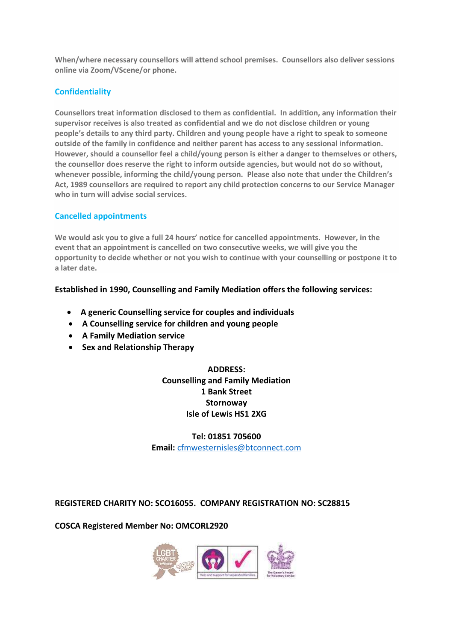**When/where necessary counsellors will attend school premises. Counsellors also deliver sessions online via Zoom/VScene/or phone.**

### **Confidentiality**

**Counsellors treat information disclosed to them as confidential. In addition, any information their supervisor receives is also treated as confidential and we do not disclose children or young people's details to any third party. Children and young people have a right to speak to someone outside of the family in confidence and neither parent has access to any sessional information. However, should a counsellor feel a child/young person is either a danger to themselves or others, the counsellor does reserve the right to inform outside agencies, but would not do so without, whenever possible, informing the child/young person. Please also note that under the Children's Act, 1989 counsellors are required to report any child protection concerns to our Service Manager who in turn will advise social services.**

### **Cancelled appointments**

**We would ask you to give a full 24 hours' notice for cancelled appointments. However, in the event that an appointment is cancelled on two consecutive weeks, we will give you the opportunity to decide whether or not you wish to continue with your counselling or postpone it to a later date.**

**Established in 1990, Counselling and Family Mediation offers the following services:**

- **A generic Counselling service for couples and individuals**
- **A Counselling service for children and young people**
- **A Family Mediation service**
- **Sex and Relationship Therapy**

**ADDRESS: Counselling and Family Mediation 1 Bank Street Stornoway Isle of Lewis HS1 2XG**

**Tel: 01851 705600**

**Email:** [cfmwesternisles@btconnect.com](mailto:cfmwesternisles@btconnect.com)

**REGISTERED CHARITY NO: SCO16055. COMPANY REGISTRATION NO: SC28815**

**COSCA Registered Member No: OMCORL2920**

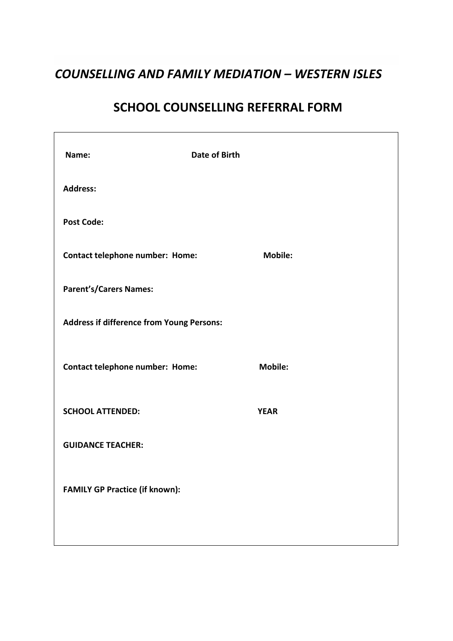## *COUNSELLING AND FAMILY MEDIATION – WESTERN ISLES*

## **SCHOOL COUNSELLING REFERRAL FORM**

| Name:                                     | <b>Date of Birth</b> |  |
|-------------------------------------------|----------------------|--|
| <b>Address:</b>                           |                      |  |
| <b>Post Code:</b>                         |                      |  |
| <b>Contact telephone number: Home:</b>    | <b>Mobile:</b>       |  |
| <b>Parent's/Carers Names:</b>             |                      |  |
| Address if difference from Young Persons: |                      |  |
| Contact telephone number: Home:           | <b>Mobile:</b>       |  |
| <b>SCHOOL ATTENDED:</b>                   | <b>YEAR</b>          |  |
| <b>GUIDANCE TEACHER:</b>                  |                      |  |
| <b>FAMILY GP Practice (if known):</b>     |                      |  |
|                                           |                      |  |